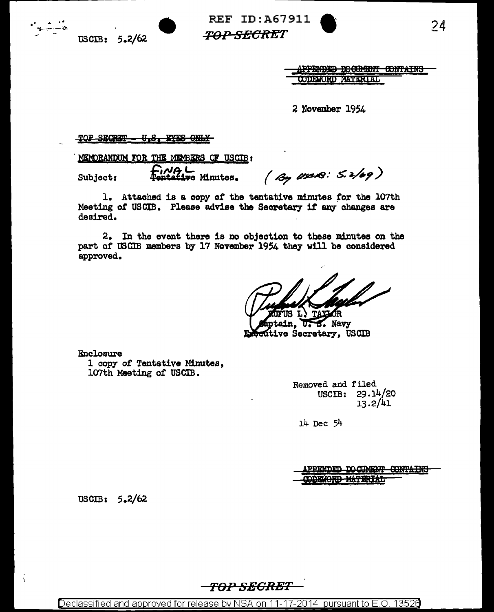

.......... --------------- - -

USCIB: 5.2/62 • REF ID:A67911<br>USCIB: 5.2/62 *TOP SECRET* **REF ID:A67911** 



PPENDED DOCUMENT CONTAINS **ODEWORD MATERIAL** 

2 November 1954

#### TOP SECRET - U.S. RYES ONLY

MEMORANDUM FOR THE MEMBERS OF USCIB:

 $Subject:$   $F_{\text{entative} \text{ Minutes.}}$   $\left( \frac{B_7}{B_7} \frac{\text{d}s}{\text{d}s} \cdot S. \frac{3}{\text{e}} \right)$ 

l. Attached is a copy *ot* the tentative minutes for the l07th Meeting of USCIB. Please advise the Secretary if any changes are desired.

2. In the event there is no objection to these minutes on the part of USCIB members by 17 November 1954 they will be considered approved.

in, **B.** Navy ᢧ᠄ útive Secretary, USCIB

Enclosure l copy of Tentative Minutes. 107th Meeting of USCIB.

> Removed and filed USCIB: 29.14/20 13.2/41

14 Dec 54

**IPPENDED DOCUMENT CONTAINS CODEMORD MATERIAL** 

USCIB: 5.2/62

Á

# TOP SECRET